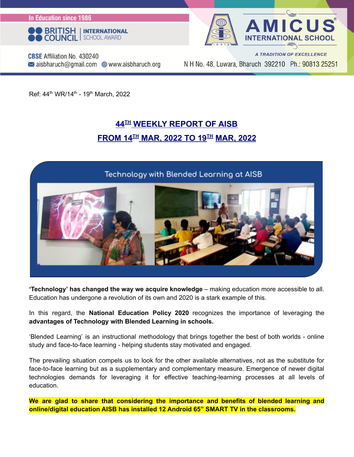**In Education since 1986** 





**CBSE** Affiliation No. 430240  $\bowtie$  aisbharuch@gmail.com  $\bigoplus$  www.aisbharuch.org

A TRADITION OF EXCELLENCE N H No. 48, Luwara, Bharuch 392210 Ph.: 90813 25251

Ref: 44<sup>th</sup> WR/14<sup>th</sup> - 19<sup>th</sup> March, 2022

#### **44 TH WEEKLY REPORT OF AISB FROM 14 TH MAR, 2022 TO 19 TH MAR, 2022**

#### Technology with Blended Learning at AISB



**'Technology' has changed the way we acquire knowledge** – making education more accessible to all. Education has undergone a revolution of its own and 2020 is a stark example of this.

In this regard, the **National Education Policy 2020** recognizes the importance of leveraging the **advantages of Technology with Blended Learning in schools.**

'Blended Learning' is an instructional methodology that brings together the best of both worlds - online study and face-to-face learning - helping students stay motivated and engaged.

The prevailing situation compels us to look for the other available alternatives, not as the substitute for face-to-face learning but as a supplementary and complementary measure. Emergence of newer digital technologies demands for leveraging it for effective teaching-learning processes at all levels of education.

**We are glad to share that considering the importance and benefits of blended learning and online/digital education AISB has installed 12 Android 65" SMART TV in the classrooms.**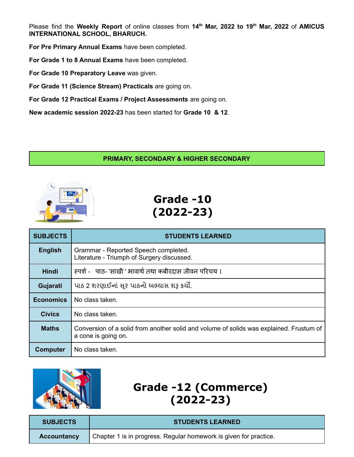Please find the **Weekly Report** of online classes from **14 th Mar, 2022 to 19 th Mar, 2022** of **AMICUS INTERNATIONAL SCHOOL, BHARUCH.**

**For Pre Primary Annual Exams** have been completed.

**For Grade 1 to 8 Annual Exams** have been completed.

**For Grade 10 Preparatory Leave** was given.

**For Grade 11 (Science Stream) Practicals** are going on.

**For Grade 12 Practical Exams / Project Assessments** are going on.

**New academic session 2022-23** has been started for **Grade 10 & 12**.

#### **PRIMARY, SECONDARY & HIGHER SECONDARY**



## **Grade -10 (2022-23)**

| <b>SUBJECTS</b>  | <b>STUDENTS LEARNED</b>                                                                                        |
|------------------|----------------------------------------------------------------------------------------------------------------|
| <b>English</b>   | Grammar - Reported Speech completed.<br>Literature - Triumph of Surgery discussed.                             |
| <b>Hindi</b>     | स्पर्श -   पाठ- 'साखी ' भावार्थ तथा कबीरदास जीवन परिचय ।                                                       |
| Gujarati         | પાઠ 2 શરણાઈનાં સૂર પાઠનો અભ્યાસ શરૂ કર્યો.                                                                     |
| <b>Economics</b> | No class taken.                                                                                                |
| <b>Civics</b>    | No class taken.                                                                                                |
| <b>Maths</b>     | Conversion of a solid from another solid and volume of solids was explained. Frustum of<br>a cone is going on. |
| <b>Computer</b>  | No class taken.                                                                                                |



# **Grade -12 (Commerce) (2022-23)**

| <b>SUBJECTS</b> | <b>STUDENTS LEARNED</b>                                           |
|-----------------|-------------------------------------------------------------------|
| Accountancy     | Chapter 1 is in progress. Regular homework is given for practice. |